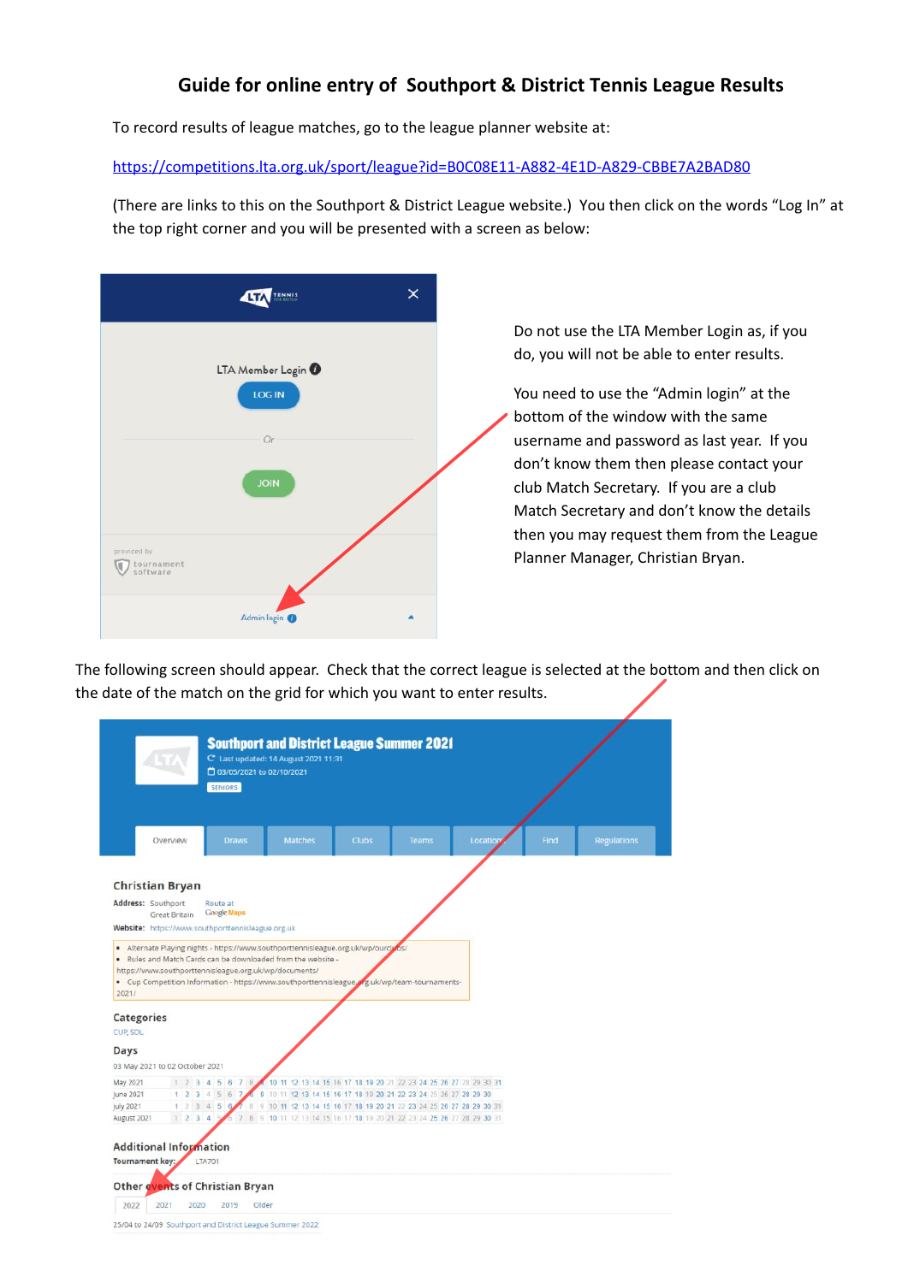## **Guide for online entry of Southport & District Tennis League Results**

To record results of league matches, go to the league planner website at:

https://competitions.lta.org.uk/sport/league?id=B0C08E11-A882-4E1D-A829-CBBE7A2BAD80

(There are links to this on the Southport & District League website.) You then click on the words "Log In" at the top right corner and you will be presented with a screen as below:

|                                       | TENNIS<br>Fotography<br>454                    | × |
|---------------------------------------|------------------------------------------------|---|
|                                       | LTA Member Login <sup>0</sup><br><b>LOG IN</b> |   |
|                                       | Or<br><b>JOIN</b>                              |   |
| provided by<br>tournament<br>software |                                                |   |
|                                       | Admin login O                                  |   |

Do not use the LTA Member Login as, if you do, you will not be able to enter results.

You need to use the "Admin login" at the bottom of the window with the same username and password as last year. If you don't know them then please contact your club Match Secretary. If you are a club Match Secretary and don't know the details then you may request them from the League Planner Manager, Christian Bryan.

The following screen should appear. Check that the correct league is selected at the bottom and then click on the date of the match on the grid for which you want to enter results.

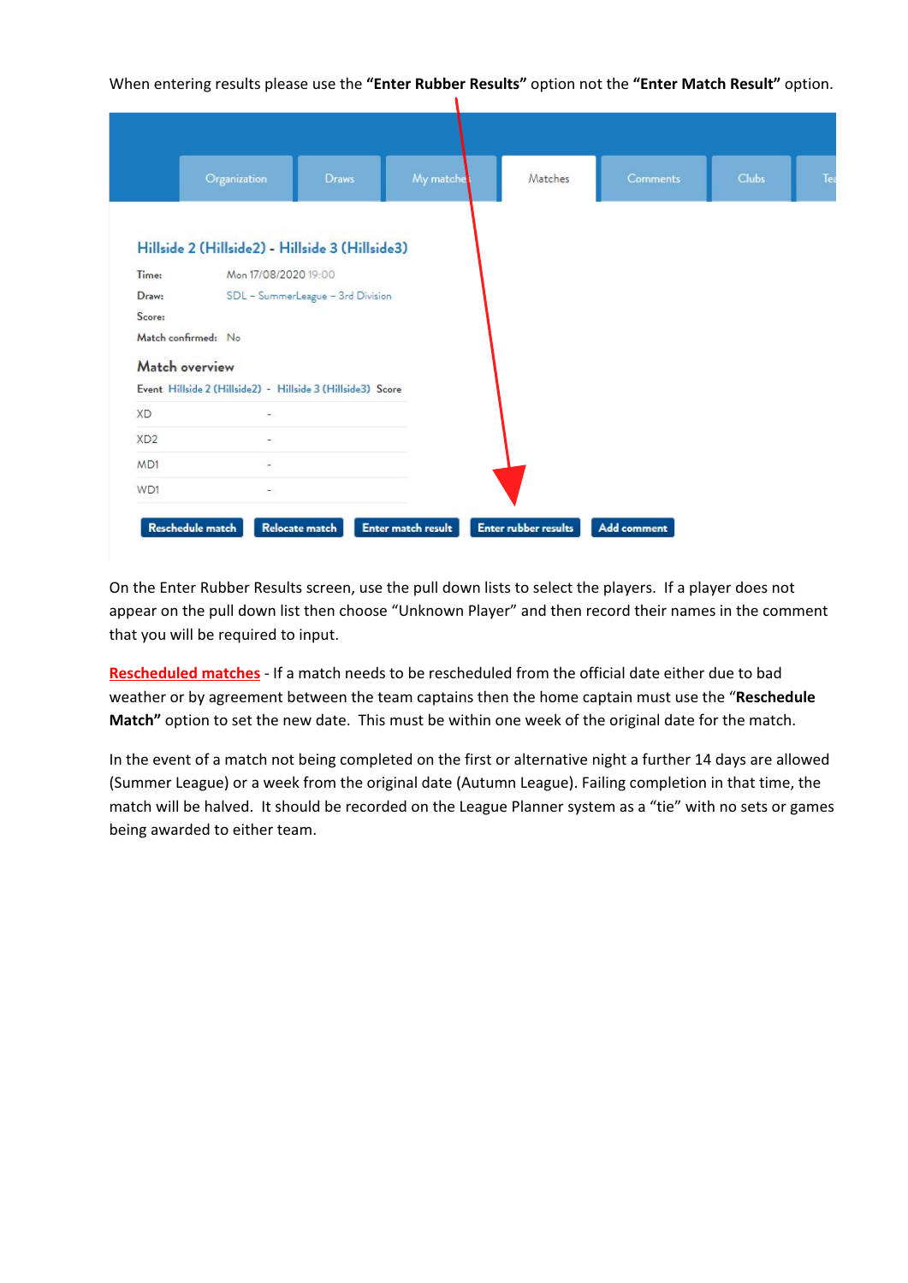When entering results please use the **"Enter Rubber Results"** option not the **"Enter Match Result"** option.

|                 | Organization                                                | <b>Draws</b>                      | My matche | Matches | <b>Comments</b> | <b>Clubs</b> |  |
|-----------------|-------------------------------------------------------------|-----------------------------------|-----------|---------|-----------------|--------------|--|
|                 |                                                             |                                   |           |         |                 |              |  |
|                 | Hillside 2 (Hillside2) - Hillside 3 (Hillside3)             |                                   |           |         |                 |              |  |
| Time:           | Mon 17/08/2020 19:00                                        |                                   |           |         |                 |              |  |
| Draw:           |                                                             | SDL - SummerLeague - 3rd Division |           |         |                 |              |  |
| Score:          |                                                             |                                   |           |         |                 |              |  |
|                 | Match confirmed: No                                         |                                   |           |         |                 |              |  |
|                 | Match overview                                              |                                   |           |         |                 |              |  |
|                 | Event Hillside 2 (Hillside2) - Hillside 3 (Hillside3) Score |                                   |           |         |                 |              |  |
| <b>XD</b>       | $\overline{\phantom{a}}$                                    |                                   |           |         |                 |              |  |
| XD <sub>2</sub> | ÷.                                                          |                                   |           |         |                 |              |  |
| MD1             | ¥.                                                          |                                   |           |         |                 |              |  |
| WD1             | $\sim$                                                      |                                   |           |         |                 |              |  |

On the Enter Rubber Results screen, use the pull down lists to select the players. If a player does not appear on the pull down list then choose "Unknown Player" and then record their names in the comment that you will be required to input.

**Rescheduled matches** - If a match needs to be rescheduled from the official date either due to bad weather or by agreement between the team captains then the home captain must use the "**Reschedule Match"** option to set the new date. This must be within one week of the original date for the match.

In the event of a match not being completed on the first or alternative night a further 14 days are allowed (Summer League) or a week from the original date (Autumn League). Failing completion in that time, the match will be halved. It should be recorded on the League Planner system as a "tie" with no sets or games being awarded to either team.